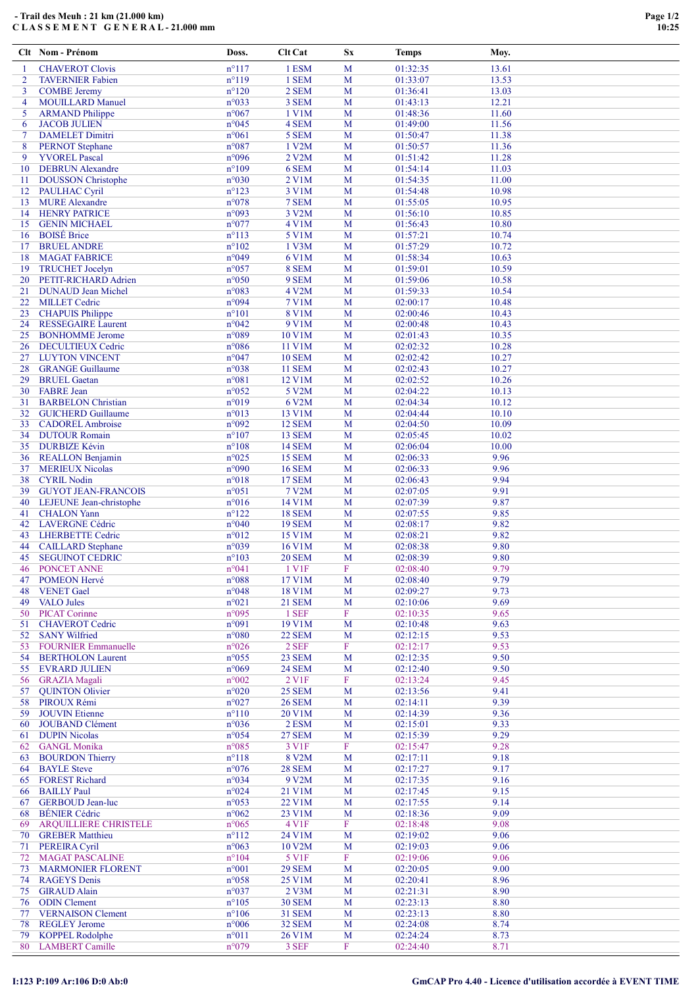Clt Nom - Prénom Doss. Clt Cat Sx Temps Moy.

| $\mathbf{1}$   | <b>CHAVEROT Clovis</b>       | $n^{\circ}117$ | 1 ESM         | M                         | 01:32:35 | 13.61 |  |
|----------------|------------------------------|----------------|---------------|---------------------------|----------|-------|--|
| $\overline{2}$ | <b>TAVERNIER Fabien</b>      | $n^{\circ}119$ | 1 SEM         | M                         | 01:33:07 | 13.53 |  |
| 3              | <b>COMBE</b> Jeremy          | $n^{\circ}120$ | 2 SEM         | M                         | 01:36:41 | 13.03 |  |
| $\overline{4}$ | <b>MOUILLARD Manuel</b>      | n°033          | 3 SEM         | M                         | 01:43:13 | 12.21 |  |
| 5              | <b>ARMAND</b> Philippe       | $n^{\circ}067$ | 1 V1M         | M                         | 01:48:36 | 11.60 |  |
|                |                              |                |               |                           |          |       |  |
| 6              | <b>JACOB JULIEN</b>          | $n^{\circ}045$ | 4 SEM         | M                         | 01:49:00 | 11.56 |  |
| $\overline{7}$ | <b>DAMELET Dimitri</b>       | $n^{\circ}061$ | 5 SEM         | M                         | 01:50:47 | 11.38 |  |
| 8              | <b>PERNOT</b> Stephane       | $n^{\circ}087$ | 1 V2M         | M                         | 01:50:57 | 11.36 |  |
| 9              | <b>YVOREL Pascal</b>         | n°096          | 2 V2M         | M                         | 01:51:42 | 11.28 |  |
| 10             | <b>DEBRUN</b> Alexandre      | $n^{\circ}109$ | 6 SEM         | M                         | 01:54:14 | 11.03 |  |
|                |                              |                |               |                           |          |       |  |
| 11             | <b>DOUSSON</b> Christophe    | $n^{\circ}030$ | 2 V1M         | M                         | 01:54:35 | 11.00 |  |
| 12             | <b>PAULHAC Cyril</b>         | $n^{\circ}123$ | 3 V1M         | M                         | 01:54:48 | 10.98 |  |
| 13             | <b>MURE</b> Alexandre        | n°078          | 7 SEM         | M                         | 01:55:05 | 10.95 |  |
| 14             | <b>HENRY PATRICE</b>         | n°093          | 3 V2M         | M                         | 01:56:10 | 10.85 |  |
|                |                              |                |               |                           |          |       |  |
| 15             | <b>GENIN MICHAEL</b>         | $n^{\circ}077$ | <b>4 V1M</b>  | M                         | 01:56:43 | 10.80 |  |
| 16             | <b>BOISÉ</b> Brice           | $n^{\circ}113$ | 5 V1M         | M                         | 01:57:21 | 10.74 |  |
| 17             | <b>BRUEL ANDRE</b>           | $n^{\circ}102$ | 1 V3M         | M                         | 01:57:29 | 10.72 |  |
| 18             | <b>MAGAT FABRICE</b>         | n°049          | 6 V1M         | M                         | 01:58:34 | 10.63 |  |
| 19             | <b>TRUCHET Jocelyn</b>       | $n^{\circ}057$ | 8 SEM         | M                         | 01:59:01 | 10.59 |  |
|                |                              |                |               |                           |          |       |  |
| 20             | PETIT-RICHARD Adrien         | $n^{\circ}050$ | 9 SEM         | M                         | 01:59:06 | 10.58 |  |
| 21             | <b>DUNAUD Jean Michel</b>    | n°083          | 4 V2M         | M                         | 01:59:33 | 10.54 |  |
| 22             | <b>MILLET</b> Cedric         | n°094          | <b>7 V1M</b>  | M                         | 02:00:17 | 10.48 |  |
| 23             | <b>CHAPUIS Philippe</b>      | $n^{\circ}101$ | <b>8 V1M</b>  | M                         | 02:00:46 | 10.43 |  |
| 24             | <b>RESSEGAIRE Laurent</b>    | n°042          | 9 V1M         | M                         | 02:00:48 | 10.43 |  |
|                |                              |                |               |                           |          |       |  |
| 25             | <b>BONHOMME</b> Jerome       | n°089          | 10 V1M        | M                         | 02:01:43 | 10.35 |  |
| 26             | <b>DECULTIEUX Cedric</b>     | $n^{\circ}086$ | 11 V1M        | M                         | 02:02:32 | 10.28 |  |
| 27             | <b>LUYTON VINCENT</b>        | n°047          | <b>10 SEM</b> | M                         | 02:02:42 | 10.27 |  |
| 28             | <b>GRANGE Guillaume</b>      | n°038          | <b>11 SEM</b> | M                         | 02:02:43 | 10.27 |  |
| 29             | <b>BRUEL</b> Gaetan          | $n^{\circ}081$ | 12 V1M        | M                         | 02:02:52 | 10.26 |  |
|                |                              |                |               |                           |          |       |  |
| 30             | <b>FABRE</b> Jean            | $n^{\circ}052$ | 5 V2M         | M                         | 02:04:22 | 10.13 |  |
| 31             | <b>BARBELON</b> Christian    | n°019          | 6 V2M         | M                         | 02:04:34 | 10.12 |  |
| 32             | <b>GUICHERD Guillaume</b>    | n°013          | 13 V1M        | M                         | 02:04:44 | 10.10 |  |
| 33             | <b>CADOREL Ambroise</b>      | n°092          | <b>12 SEM</b> | M                         | 02:04:50 | 10.09 |  |
|                |                              |                |               |                           |          |       |  |
| 34             | <b>DUTOUR Romain</b>         | $n^{\circ}107$ | 13 SEM        | M                         | 02:05:45 | 10.02 |  |
| 35             | <b>DURBIZE Kévin</b>         | $n^{\circ}108$ | <b>14 SEM</b> | M                         | 02:06:04 | 10.00 |  |
| 36             | <b>REALLON Benjamin</b>      | $n^{\circ}025$ | <b>15 SEM</b> | M                         | 02:06:33 | 9.96  |  |
| 37             | <b>MERIEUX Nicolas</b>       | n°090          | <b>16 SEM</b> | M                         | 02:06:33 | 9.96  |  |
| 38             | <b>CYRIL Nodin</b>           | $n^{\circ}018$ | <b>17 SEM</b> | M                         | 02:06:43 | 9.94  |  |
|                |                              |                |               |                           |          |       |  |
| 39             | <b>GUYOT JEAN-FRANCOIS</b>   | $n^{\circ}051$ | 7 V2M         | M                         | 02:07:05 | 9.91  |  |
| 40             | LEJEUNE Jean-christophe      | $n^{\circ}016$ | 14 V1M        | M                         | 02:07:39 | 9.87  |  |
| 41             | <b>CHALON</b> Yann           | $n^{\circ}122$ | <b>18 SEM</b> | M                         | 02:07:55 | 9.85  |  |
| 42             | <b>LAVERGNE Cédric</b>       | n°040          | <b>19 SEM</b> | M                         | 02:08:17 | 9.82  |  |
| 43             | <b>LHERBETTE Cedric</b>      | $n^{\circ}012$ | 15 V1M        | M                         | 02:08:21 | 9.82  |  |
|                |                              |                |               |                           |          |       |  |
| 44             | <b>CAILLARD</b> Stephane     | n°039          | 16 V1M        | M                         | 02:08:38 | 9.80  |  |
| 45             | <b>SEGUINOT CEDRIC</b>       | $n^{\circ}103$ | <b>20 SEM</b> | M                         | 02:08:39 | 9.80  |  |
| 46             | PONCET ANNE                  | n°041          | 1 V1F         | $\boldsymbol{\mathrm{F}}$ | 02:08:40 | 9.79  |  |
| 47             | <b>POMEON Hervé</b>          | $n^{\circ}088$ | 17 V1M        | M                         | 02:08:40 | 9.79  |  |
|                |                              |                |               |                           |          |       |  |
| 48             | <b>VENET Gael</b>            | $n^{\circ}048$ | 18 V1M        | M                         | 02:09:27 | 9.73  |  |
| 49             | <b>VALO</b> Jules            | $n^{\circ}021$ | <b>21 SEM</b> | M                         | 02:10:06 | 9.69  |  |
| 50             | <b>PICAT Corinne</b>         | n°095          | 1 SEF         | F                         | 02:10:35 | 9.65  |  |
| 51             | <b>CHAVEROT</b> Cedric       | n°091          | 19 V1M        | M                         | 02:10:48 | 9.63  |  |
| 52             | <b>SANY Wilfried</b>         | $n^{\circ}080$ | <b>22 SEM</b> | M                         | 02:12:15 | 9.53  |  |
| 53             | <b>FOURNIER Emmanuelle</b>   | $n^{\circ}026$ | 2 SEF         | F                         | 02:12:17 | 9.53  |  |
|                |                              |                |               |                           |          |       |  |
| 54             | <b>BERTHOLON Laurent</b>     | $n^{\circ}055$ | 23 SEM        | M                         | 02:12:35 | 9.50  |  |
| 55             | <b>EVRARD JULIEN</b>         | $n^{\circ}069$ | <b>24 SEM</b> | M                         | 02:12:40 | 9.50  |  |
|                | 56 GRAZIA Magali             | $n^{\circ}002$ | 2 V1F         | F                         | 02:13:24 | 9.45  |  |
| 57             | <b>QUINTON Olivier</b>       | $n^{\circ}020$ | <b>25 SEM</b> | M                         | 02:13:56 | 9.41  |  |
|                | 58 PIROUX Rémi               | $n^{\circ}027$ | <b>26 SEM</b> | M                         | 02:14:11 | 9.39  |  |
|                | <b>JOUVIN Etienne</b>        |                |               |                           |          | 9.36  |  |
| 59             |                              | $n^{\circ}110$ | 20 V1M        | $\mathbf M$               | 02:14:39 |       |  |
| 60             | <b>JOUBAND Clément</b>       | n°036          | 2 ESM         | M                         | 02:15:01 | 9.33  |  |
| 61             | <b>DUPIN Nicolas</b>         | n°054          | <b>27 SEM</b> | M                         | 02:15:39 | 9.29  |  |
| 62             | <b>GANGL Monika</b>          | $n^{\circ}085$ | 3 V1F         | $\mathbf F$               | 02:15:47 | 9.28  |  |
| 63             | <b>BOURDON Thierry</b>       | $n^{\circ}118$ | 8 V2M         | M                         | 02:17:11 | 9.18  |  |
| 64             | <b>BAYLE</b> Steve           | $n^{\circ}076$ | <b>28 SEM</b> | M                         | 02:17:27 | 9.17  |  |
|                |                              |                |               |                           |          |       |  |
| 65             | <b>FOREST Richard</b>        | n°034          | 9 V2M         | M                         | 02:17:35 | 9.16  |  |
| 66             | <b>BAILLY Paul</b>           | n°024          | 21 V1M        | M                         | 02:17:45 | 9.15  |  |
| 67             | <b>GERBOUD Jean-luc</b>      | $n^{\circ}053$ | 22 V1M        | M                         | 02:17:55 | 9.14  |  |
| 68             | <b>BÉNIER</b> Cédric         | $n^{\circ}062$ | 23 V1M        | M                         | 02:18:36 | 9.09  |  |
| 69             | <b>ARQUILLIERE CHRISTELE</b> | $n^{\circ}065$ | 4 V1F         | F                         | 02:18:48 | 9.08  |  |
|                |                              |                |               |                           |          |       |  |
|                | 70 GREBER Matthieu           | $n^{\circ}112$ | 24 V1M        | M                         | 02:19:02 | 9.06  |  |
| 71             | <b>PEREIRA Cyril</b>         | $n^{\circ}063$ | 10 V2M        | M                         | 02:19:03 | 9.06  |  |
| 72             | <b>MAGAT PASCALINE</b>       | $n^{\circ}104$ | 5 V1F         | F                         | 02:19:06 | 9.06  |  |
| 73             | <b>MARMONIER FLORENT</b>     | $n^{\circ}001$ | <b>29 SEM</b> | M                         | 02:20:05 | 9.00  |  |
| 74             | <b>RAGEYS</b> Denis          | $n^{\circ}058$ | 25 V1M        | M                         | 02:20:41 | 8.96  |  |
|                |                              |                |               |                           |          |       |  |
| 75             | <b>GIRAUD Alain</b>          | n°037          | 2 V3M         | M                         | 02:21:31 | 8.90  |  |
| 76             | <b>ODIN</b> Clement          | $n^{\circ}105$ | <b>30 SEM</b> | M                         | 02:23:13 | 8.80  |  |
| 77             | <b>VERNAISON Clement</b>     | $n^{\circ}106$ | <b>31 SEM</b> | M                         | 02:23:13 | 8.80  |  |
| 78             | <b>REGLEY Jerome</b>         | $n^{\circ}006$ | <b>32 SEM</b> | $\mathbf M$               | 02:24:08 | 8.74  |  |
| 79             | <b>KOPPEL Rodolphe</b>       | $n^{\circ}011$ | 26 V1M        | M                         | 02:24:24 | 8.73  |  |
|                | 80 LAMBERT Camille           | n°079          | 3 SEF         |                           |          |       |  |
|                |                              |                |               | F                         | 02:24:40 | 8.71  |  |